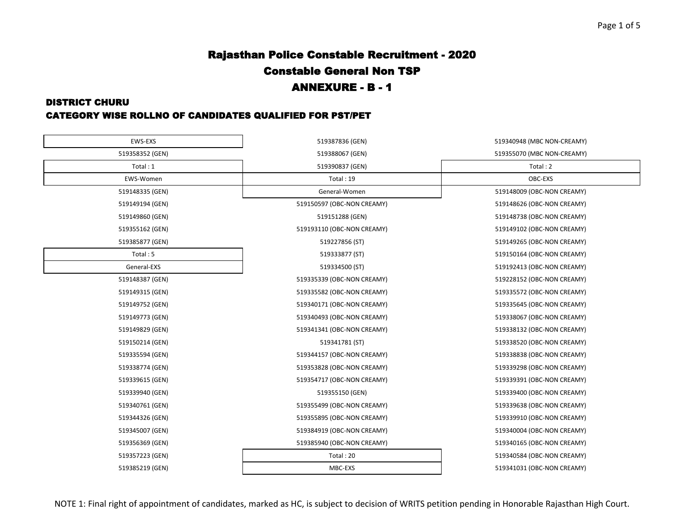#### DISTRICT CHURU

### CATEGORY WISE ROLLNO OF CANDIDATES QUALIFIED FOR PST/PET

| EWS-EXS         | 519387836 (GEN)            | 519340948 (MBC NON-CREAMY) |
|-----------------|----------------------------|----------------------------|
| 519358352 (GEN) | 519388067 (GEN)            | 519355070 (MBC NON-CREAMY) |
| Total: 1        | 519390837 (GEN)            | Total: 2                   |
| EWS-Women       | Total: 19                  | OBC-EXS                    |
| 519148335 (GEN) | General-Women              | 519148009 (OBC-NON CREAMY) |
| 519149194 (GEN) | 519150597 (OBC-NON CREAMY) | 519148626 (OBC-NON CREAMY) |
| 519149860 (GEN) | 519151288 (GEN)            | 519148738 (OBC-NON CREAMY) |
| 519355162 (GEN) | 519193110 (OBC-NON CREAMY) | 519149102 (OBC-NON CREAMY) |
| 519385877 (GEN) | 519227856 (ST)             | 519149265 (OBC-NON CREAMY) |
| Total:5         | 519333877 (ST)             | 519150164 (OBC-NON CREAMY) |
| General-EXS     | 519334500 (ST)             | 519192413 (OBC-NON CREAMY) |
| 519148387 (GEN) | 519335339 (OBC-NON CREAMY) | 519228152 (OBC-NON CREAMY) |
| 519149315 (GEN) | 519335582 (OBC-NON CREAMY) | 519335572 (OBC-NON CREAMY) |
| 519149752 (GEN) | 519340171 (OBC-NON CREAMY) | 519335645 (OBC-NON CREAMY) |
| 519149773 (GEN) | 519340493 (OBC-NON CREAMY) | 519338067 (OBC-NON CREAMY) |
| 519149829 (GEN) | 519341341 (OBC-NON CREAMY) | 519338132 (OBC-NON CREAMY) |
| 519150214 (GEN) | 519341781 (ST)             | 519338520 (OBC-NON CREAMY) |
| 519335594 (GEN) | 519344157 (OBC-NON CREAMY) | 519338838 (OBC-NON CREAMY) |
| 519338774 (GEN) | 519353828 (OBC-NON CREAMY) | 519339298 (OBC-NON CREAMY) |
| 519339615 (GEN) | 519354717 (OBC-NON CREAMY) | 519339391 (OBC-NON CREAMY) |
| 519339940 (GEN) | 519355150 (GEN)            | 519339400 (OBC-NON CREAMY) |
| 519340761 (GEN) | 519355499 (OBC-NON CREAMY) | 519339638 (OBC-NON CREAMY) |
| 519344326 (GEN) | 519355895 (OBC-NON CREAMY) | 519339910 (OBC-NON CREAMY) |
| 519345007 (GEN) | 519384919 (OBC-NON CREAMY) | 519340004 (OBC-NON CREAMY) |
| 519356369 (GEN) | 519385940 (OBC-NON CREAMY) | 519340165 (OBC-NON CREAMY) |
| 519357223 (GEN) | Total: 20                  | 519340584 (OBC-NON CREAMY) |
| 519385219 (GEN) | MBC-EXS                    | 519341031 (OBC-NON CREAMY) |
|                 |                            |                            |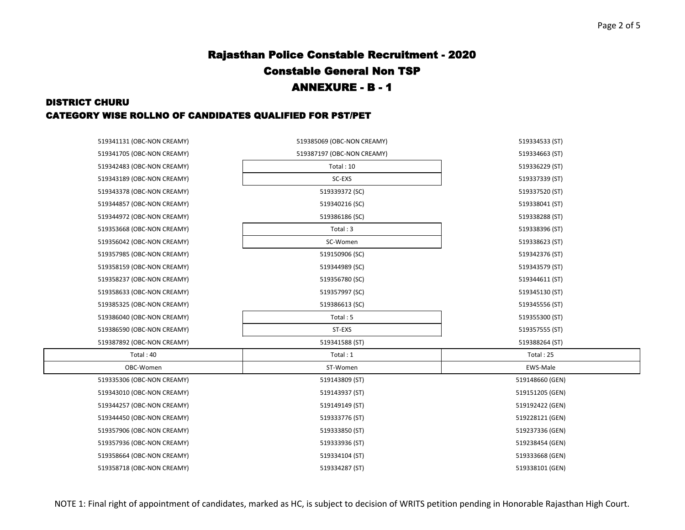## DISTRICT CHURU CATEGORY WISE ROLLNO OF CANDIDATES QUALIFIED FOR PST/PET

| 519341131 (OBC-NON CREAMY) | 519385069 (OBC-NON CREAMY) | 519334533 (ST)  |
|----------------------------|----------------------------|-----------------|
| 519341705 (OBC-NON CREAMY) | 519387197 (OBC-NON CREAMY) | 519334663 (ST)  |
| 519342483 (OBC-NON CREAMY) | Total: 10                  | 519336229 (ST)  |
| 519343189 (OBC-NON CREAMY) | SC-EXS                     | 519337339 (ST)  |
| 519343378 (OBC-NON CREAMY) | 519339372 (SC)             | 519337520 (ST)  |
| 519344857 (OBC-NON CREAMY) | 519340216 (SC)             | 519338041 (ST)  |
| 519344972 (OBC-NON CREAMY) | 519386186 (SC)             | 519338288 (ST)  |
| 519353668 (OBC-NON CREAMY) | Total: 3                   | 519338396 (ST)  |
| 519356042 (OBC-NON CREAMY) | SC-Women                   | 519338623 (ST)  |
| 519357985 (OBC-NON CREAMY) | 519150906 (SC)             | 519342376 (ST)  |
| 519358159 (OBC-NON CREAMY) | 519344989 (SC)             | 519343579 (ST)  |
| 519358237 (OBC-NON CREAMY) | 519356780 (SC)             | 519344611 (ST)  |
| 519358633 (OBC-NON CREAMY) | 519357997 (SC)             | 519345130 (ST)  |
| 519385325 (OBC-NON CREAMY) | 519386613 (SC)             | 519345556 (ST)  |
| 519386040 (OBC-NON CREAMY) | Total: 5                   | 519355300 (ST)  |
| 519386590 (OBC-NON CREAMY) | ST-EXS                     | 519357555 (ST)  |
| 519387892 (OBC-NON CREAMY) | 519341588 (ST)             | 519388264 (ST)  |
| Total: 40                  | Total: 1                   | Total: 25       |
| OBC-Women                  | ST-Women                   | EWS-Male        |
| 519335306 (OBC-NON CREAMY) | 519143809 (ST)             | 519148660 (GEN) |
| 519343010 (OBC-NON CREAMY) | 519143937 (ST)             | 519151205 (GEN) |
| 519344257 (OBC-NON CREAMY) | 519149149 (ST)             | 519192422 (GEN) |
| 519344450 (OBC-NON CREAMY) | 519333776 (ST)             | 519228121 (GEN) |
| 519357906 (OBC-NON CREAMY) | 519333850 (ST)             | 519237336 (GEN) |
| 519357936 (OBC-NON CREAMY) | 519333936 (ST)             | 519238454 (GEN) |
| 519358664 (OBC-NON CREAMY) | 519334104 (ST)             | 519333668 (GEN) |
| 519358718 (OBC-NON CREAMY) | 519334287 (ST)             | 519338101 (GEN) |

NOTE 1: Final right of appointment of candidates, marked as HC, is subject to decision of WRITS petition pending in Honorable Rajasthan High Court.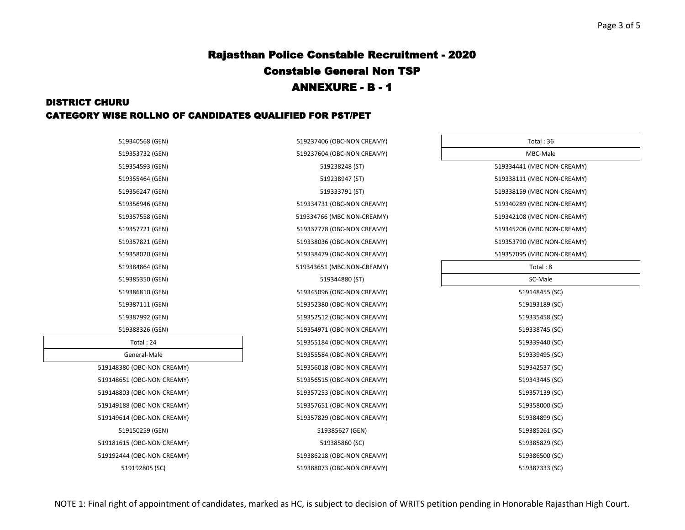## DISTRICT CHURU CATEGORY WISE ROLLNO OF CANDIDATES QUALIFIED FOR PST/PET

| Total: 36                  |  |
|----------------------------|--|
| MBC-Male                   |  |
| 519334441 (MBC NON-CREAMY) |  |
| 519338111 (MBC NON-CREAMY) |  |
| 519338159 (MBC NON-CREAMY) |  |
| 519340289 (MBC NON-CREAMY) |  |
| 519342108 (MBC NON-CREAMY) |  |
| 519345206 (MBC NON-CREAMY) |  |
| 519353790 (MBC NON-CREAMY) |  |
| 519357095 (MBC NON-CREAMY) |  |
| Total: 8                   |  |
| SC-Male                    |  |
| 519148455 (SC)             |  |
| 519193189 (SC)             |  |
| 519335458 (SC)             |  |
| 519338745 (SC)             |  |
| 519339440 (SC)             |  |
| 519339495 (SC)             |  |
| 519342537 (SC)             |  |
| 519343445 (SC)             |  |
| 519357139 (SC)             |  |
| 519358000 (SC)             |  |
| 519384899 (SC)             |  |
| 519385261 (SC)             |  |
| 519385829 (SC)             |  |
| 519386500 (SC)             |  |
| $E10207222$ $ CCD $        |  |

| 519340568 (GEN)            | 519237406 (OBC-NON CREAMY) | Total: 36                  |
|----------------------------|----------------------------|----------------------------|
| 519353732 (GEN)            | 519237604 (OBC-NON CREAMY) | MBC-Male                   |
| 519354593 (GEN)            | 519238248 (ST)             | 519334441 (MBC NON-CREAMY) |
| 519355464 (GEN)            | 519238947 (ST)             | 519338111 (MBC NON-CREAMY) |
| 519356247 (GEN)            | 519333791 (ST)             | 519338159 (MBC NON-CREAMY) |
| 519356946 (GEN)            | 519334731 (OBC-NON CREAMY) | 519340289 (MBC NON-CREAMY) |
| 519357558 (GEN)            | 519334766 (MBC NON-CREAMY) | 519342108 (MBC NON-CREAMY) |
| 519357721 (GEN)            | 519337778 (OBC-NON CREAMY) | 519345206 (MBC NON-CREAMY) |
| 519357821 (GEN)            | 519338036 (OBC-NON CREAMY) | 519353790 (MBC NON-CREAMY) |
| 519358020 (GEN)            | 519338479 (OBC-NON CREAMY) | 519357095 (MBC NON-CREAMY) |
| 519384864 (GEN)            | 519343651 (MBC NON-CREAMY) | Total: 8                   |
| 519385350 (GEN)            | 519344880 (ST)             | SC-Male                    |
| 519386810 (GEN)            | 519345096 (OBC-NON CREAMY) | 519148455 (SC)             |
| 519387111 (GEN)            | 519352380 (OBC-NON CREAMY) | 519193189 (SC)             |
| 519387992 (GEN)            | 519352512 (OBC-NON CREAMY) | 519335458 (SC)             |
| 519388326 (GEN)            | 519354971 (OBC-NON CREAMY) | 519338745 (SC)             |
| Total: 24                  | 519355184 (OBC-NON CREAMY) | 519339440 (SC)             |
| General-Male               | 519355584 (OBC-NON CREAMY) | 519339495 (SC)             |
| 519148380 (OBC-NON CREAMY) | 519356018 (OBC-NON CREAMY) | 519342537 (SC)             |
| 519148651 (OBC-NON CREAMY) | 519356515 (OBC-NON CREAMY) | 519343445 (SC)             |
| 519148803 (OBC-NON CREAMY) | 519357253 (OBC-NON CREAMY) | 519357139 (SC)             |
| 519149188 (OBC-NON CREAMY) | 519357651 (OBC-NON CREAMY) | 519358000 (SC)             |
| 519149614 (OBC-NON CREAMY) | 519357829 (OBC-NON CREAMY) | 519384899 (SC)             |
| 519150259 (GEN)            | 519385627 (GEN)            | 519385261 (SC)             |
| 519181615 (OBC-NON CREAMY) | 519385860 (SC)             | 519385829 (SC)             |
| 519192444 (OBC-NON CREAMY) | 519386218 (OBC-NON CREAMY) | 519386500 (SC)             |
| 519192805 (SC)             | 519388073 (OBC-NON CREAMY) | 519387333 (SC)             |
|                            |                            |                            |

| 519353732 (GEN)            |
|----------------------------|
| 519354593 (GEN)            |
| 519355464 (GEN)            |
| 519356247 (GEN)            |
| 519356946 (GEN)            |
| 519357558 (GEN)            |
| 519357721 (GEN)            |
| 519357821 (GEN)            |
| 519358020 (GEN)            |
| 519384864 (GEN)            |
| 519385350 (GEN)            |
| 519386810 (GEN)            |
| 519387111 (GEN)            |
| 519387992 (GEN)            |
| 519388326 (GEN)            |
| Total: 24                  |
| General-Male               |
| 519148380 (OBC-NON CREAMY) |
| 519148651 (OBC-NON CREAMY) |
| 519148803 (OBC-NON CREAMY) |
| 519149188 (OBC-NON CREAMY) |
| 519149614 (OBC-NON CREAMY) |
| 519150259 (GEN)            |
| 519181615 (OBC-NON CREAMY) |
| 519192444 (OBC-NON CREAMY) |
|                            |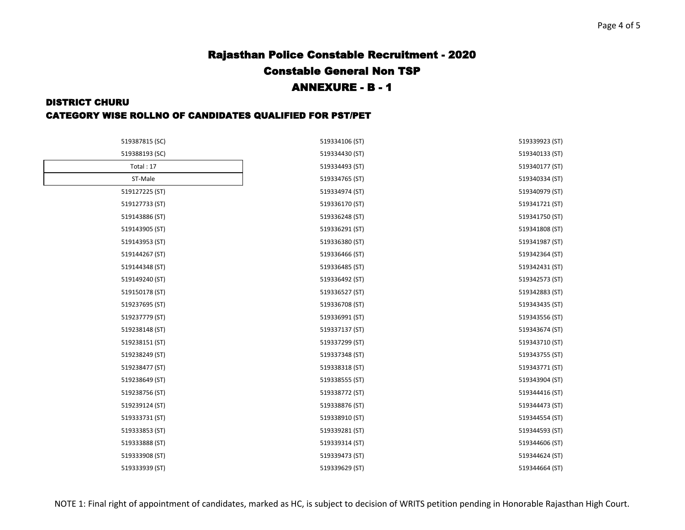#### DISTRICT CHURU

### CATEGORY WISE ROLLNO OF CANDIDATES QUALIFIED FOR PST/PET

| 519387815 (SC) | 519334106 (ST) | 519339923 (ST) |
|----------------|----------------|----------------|
| 519388193 (SC) | 519334430 (ST) | 519340133 (ST) |
| Total: 17      | 519334493 (ST) | 519340177 (ST) |
| ST-Male        | 519334765 (ST) | 519340334 (ST) |
| 519127225 (ST) | 519334974 (ST) | 519340979 (ST) |
| 519127733 (ST) | 519336170 (ST) | 519341721 (ST) |
| 519143886 (ST) | 519336248 (ST) | 519341750 (ST) |
| 519143905 (ST) | 519336291 (ST) | 519341808 (ST) |
| 519143953 (ST) | 519336380 (ST) | 519341987 (ST) |
| 519144267 (ST) | 519336466 (ST) | 519342364 (ST) |
| 519144348 (ST) | 519336485 (ST) | 519342431 (ST) |
| 519149240 (ST) | 519336492 (ST) | 519342573 (ST) |
| 519150178 (ST) | 519336527 (ST) | 519342883 (ST) |
| 519237695 (ST) | 519336708 (ST) | 519343435 (ST) |
| 519237779 (ST) | 519336991 (ST) | 519343556 (ST) |
| 519238148 (ST) | 519337137 (ST) | 519343674 (ST) |
| 519238151 (ST) | 519337299 (ST) | 519343710 (ST) |
| 519238249 (ST) | 519337348 (ST) | 519343755 (ST) |
| 519238477 (ST) | 519338318 (ST) | 519343771 (ST) |
| 519238649 (ST) | 519338555 (ST) | 519343904 (ST) |
| 519238756 (ST) | 519338772 (ST) | 519344416 (ST) |
| 519239124 (ST) | 519338876 (ST) | 519344473 (ST) |
| 519333731 (ST) | 519338910 (ST) | 519344554 (ST) |
| 519333853 (ST) | 519339281 (ST) | 519344593 (ST) |
| 519333888 (ST) | 519339314 (ST) | 519344606 (ST) |
| 519333908 (ST) | 519339473 (ST) | 519344624 (ST) |
| 519333939 (ST) | 519339629 (ST) | 519344664 (ST) |